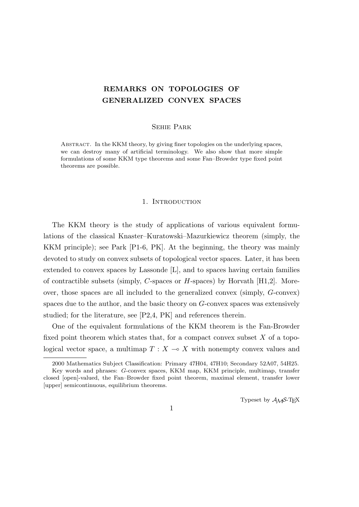# **REMARKS ON TOPOLOGIES OF GENERALIZED CONVEX SPACES**

# Sehie Park

Abstract. In the KKM theory, by giving finer topologies on the underlying spaces, we can destroy many of artificial terminology. We also show that more simple formulations of some KKM type theorems and some Fan–Browder type fixed point theorems are possible.

# 1. INTRODUCTION

The KKM theory is the study of applications of various equivalent formulations of the classical Knaster–Kuratowski–Mazurkiewicz theorem (simply, the KKM principle); see Park [P1-6, PK]. At the beginning, the theory was mainly devoted to study on convex subsets of topological vector spaces. Later, it has been extended to convex spaces by Lassonde [L], and to spaces having certain families of contractible subsets (simply, *C*-spaces or *H*-spaces) by Horvath [H1,2]. Moreover, those spaces are all included to the generalized convex (simply, *G*-convex) spaces due to the author, and the basic theory on *G*-convex spaces was extensively studied; for the literature, see [P2,4, PK] and references therein.

One of the equivalent formulations of the KKM theorem is the Fan-Browder fixed point theorem which states that, for a compact convex subset *X* of a topological vector space, a multimap  $T : X \to X$  with nonempty convex values and

Typeset by  $A_{\mathcal{M}}S$ -T<sub>E</sub>X

<sup>2000</sup> Mathematics Subject Classification: Primary 47H04, 47H10; Secondary 52A07, 54H25.

Key words and phrases: *G*-convex spaces, KKM map, KKM principle, multimap, transfer closed [open]-valued, the Fan–Browder fixed point theorem, maximal element, transfer lower [upper] semicontinuous, equilibrium theorems.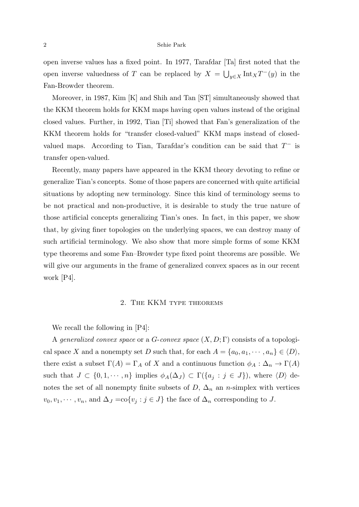#### 2 Sehie Park

open inverse values has a fixed point. In 1977, Tarafdar [Ta] first noted that the open inverse valuedness of *T* can be replaced by  $X = \bigcup_{y \in X} \text{Int}_X T^-(y)$  in the Fan-Browder theorem.

Moreover, in 1987, Kim [K] and Shih and Tan [ST] simultaneously showed that the KKM theorem holds for KKM maps having open values instead of the original closed values. Further, in 1992, Tian [Ti] showed that Fan's generalization of the KKM theorem holds for "transfer closed-valued" KKM maps instead of closedvalued maps. According to Tian, Tarafdar's condition can be said that *T <sup>−</sup>* is transfer open-valued.

Recently, many papers have appeared in the KKM theory devoting to refine or generalize Tian's concepts. Some of those papers are concerned with quite artificial situations by adopting new terminology. Since this kind of terminology seems to be not practical and non-productive, it is desirable to study the true nature of those artificial concepts generalizing Tian's ones. In fact, in this paper, we show that, by giving finer topologies on the underlying spaces, we can destroy many of such artificial terminology. We also show that more simple forms of some KKM type theorems and some Fan–Browder type fixed point theorems are possible. We will give our arguments in the frame of generalized convex spaces as in our recent work [P4].

# 2. The KKM type theorems

We recall the following in [P4]:

A *generalized convex space* or a *G*-*convex space* (*X, D*; Γ) consists of a topological space *X* and a nonempty set *D* such that, for each  $A = \{a_0, a_1, \dots, a_n\} \in \langle D \rangle$ , there exist a subset  $\Gamma(A) = \Gamma_A$  of *X* and a continuous function  $\phi_A : \Delta_n \to \Gamma(A)$ such that  $J \subset \{0,1,\dots,n\}$  implies  $\phi_A(\Delta_J) \subset \Gamma(\{a_j : j \in J\})$ , where  $\langle D \rangle$  denotes the set of all nonempty finite subsets of  $D$ ,  $\Delta_n$  an *n*-simplex with vertices  $v_0, v_1, \dots, v_n$ , and  $\Delta_J = \text{co}\{v_j : j \in J\}$  the face of  $\Delta_n$  corresponding to *J*.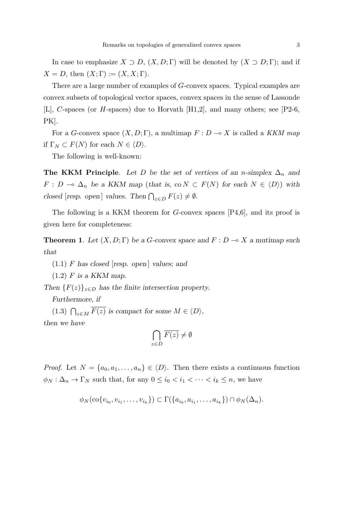In case to emphasize  $X \supset D$ ,  $(X, D; \Gamma)$  will be denoted by  $(X \supset D; \Gamma)$ ; and if  $X = D$ , then  $(X; \Gamma) := (X, X; \Gamma)$ .

There are a large number of examples of *G*-convex spaces. Typical examples are convex subsets of topological vector spaces, convex spaces in the sense of Lassonde [L], *C*-spaces (or *H*-spaces) due to Horvath [H1,2], and many others; see [P2-6, PK].

For a *G*-convex space  $(X, D; \Gamma)$ , a multimap  $F: D \to X$  is called a *KKM map* if  $\Gamma_N \subset F(N)$  for each  $N \in \langle D \rangle$ .

The following is well-known:

**The KKM Principle**. Let *D* be the set of vertices of an *n*-simplex  $\Delta_n$  and  $F: D \to \Delta_n$  *be a KKM map* (*that is,* co  $N \subset F(N)$  *for each*  $N \in \langle D \rangle$ ) *with closed* [*resp. open*] *values.* Then  $\bigcap_{z \in D} F(z) \neq \emptyset$ *.* 

The following is a KKM theorem for *G*-convex spaces [P4,6], and its proof is given here for completeness:

**Theorem 1**. Let  $(X, D; \Gamma)$  be a *G*-convex space and  $F: D \to X$  *a* mutimap such *that*

 $(1.1)$  *F* has closed [resp. open] values; and

(1*.*2) *F is a KKM map.*

*Then*  ${F(z)}_{z \in D}$  *has the finite intersection property.* 

*Furthermore, if*

(1.3)  $\bigcap_{z \in M} \overline{F(z)}$  is compact for some  $M \in \langle D \rangle$ , *then we have*

$$
\bigcap_{z \in D} \overline{F(z)} \neq \emptyset
$$

*Proof.* Let  $N = \{a_0, a_1, \ldots, a_n\} \in \langle D \rangle$ . Then there exists a continuous function  $\phi_N : \Delta_n \to \Gamma_N$  such that, for any  $0 \leq i_0 < i_1 < \cdots < i_k \leq n$ , we have

$$
\phi_N(\text{co}\{v_{i_0}, v_{i_1}, \dots, v_{i_k}\}) \subset \Gamma(\{a_{i_0}, a_{i_1}, \dots, a_{i_k}\}) \cap \phi_N(\Delta_n).
$$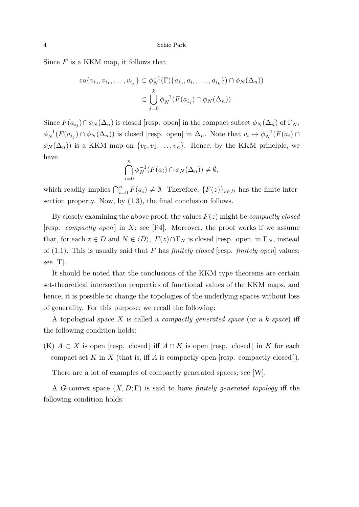Since *F* is a KKM map, it follows that

$$
\operatorname{co}\{v_{i_0}, v_{i_1}, \dots, v_{i_k}\} \subset \phi_N^{-1}(\Gamma(\{a_{i_0}, a_{i_1}, \dots, a_{i_k}\}) \cap \phi_N(\Delta_n))
$$

$$
\subset \bigcup_{j=0}^k \phi_N^{-1}(F(a_{i_j}) \cap \phi_N(\Delta_n)).
$$

Since  $F(a_{i_j}) \cap \phi_N(\Delta_n)$  is closed [resp. open] in the compact subset  $\phi_N(\Delta_n)$  of  $\Gamma_N$ ,  $\phi_N^{-1}(F(a_{i_j}) \cap \phi_N(\Delta_n))$  is closed [resp. open] in  $\Delta_n$ . Note that  $v_i \mapsto \phi_N^{-1}(F(a_i) \cap$  $\phi_N(\Delta_n)$  is a KKM map on  $\{v_0, v_1, \ldots, v_n\}$ . Hence, by the KKM principle, we have

$$
\bigcap_{i=0}^{n} \phi_N^{-1}(F(a_i) \cap \phi_N(\Delta_n)) \neq \emptyset,
$$

which readily implies  $\bigcap_{i=0}^{n} F(a_i) \neq \emptyset$ . Therefore,  $\{F(z)\}_{z \in D}$  has the finite intersection property. Now, by  $(1.3)$ , the final conclusion follows.

By closely examining the above proof, the values *F*(*z*) might be *compactly closed* [resp. *compactly open*] in  $X$ ; see [P4]. Moreover, the proof works if we assume that, for each  $z \in D$  and  $N \in \langle D \rangle$ ,  $F(z) \cap \Gamma_N$  is closed [resp. open] in  $\Gamma_N$ , instead of (1.1). This is usually said that *F* has *finitely closed* [resp. *finitely open*] values; see [T].

It should be noted that the conclusions of the KKM type theorems are certain set-theoretical intersection properties of functional values of the KKM maps, and hence, it is possible to change the topologies of the underlying spaces without loss of generality. For this purpose, we recall the following:

A topological space *X* is called a *compactly generated space* (or a *k*-*space*) iff the following condition holds:

 $(K)$  *A*  $\subset$  *X* is open [resp. closed] iff *A*  $\cap$  *K* is open [resp. closed] in *K* for each compact set  $K$  in  $X$  (that is, iff  $A$  is compactly open [resp. compactly closed]).

There are a lot of examples of compactly generated spaces; see [W].

A *G*-convex space (*X, D*; Γ) is said to have *finitely generated topology* iff the following condition holds: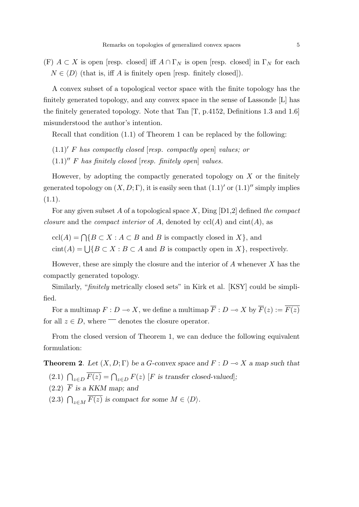(F)  $A \subset X$  is open [resp. closed] iff  $A \cap \Gamma_N$  is open [resp. closed] in  $\Gamma_N$  for each  $N \in \langle D \rangle$  (that is, iff *A* is finitely open [resp. finitely closed]).

A convex subset of a topological vector space with the finite topology has the finitely generated topology, and any convex space in the sense of Lassonde [L] has the finitely generated topology. Note that Tan [T, p.4152, Definitions 1.3 and 1.6] misunderstood the author's intention.

Recall that condition (1.1) of Theorem 1 can be replaced by the following:

(1*.*1)*′ F has compactly closed* [*resp. compactly open*] *values; or*

(1*.*1)*′′ F has finitely closed* [*resp. finitely open*] *values.*

However, by adopting the compactly generated topology on *X* or the finitely generated topology on  $(X, D; \Gamma)$ , it is easily seen that  $(1.1)'$  or  $(1.1)''$  simply implies (1*.*1).

For any given subset *A* of a topological space *X*, Ding [D1,2] defined *the compact closure* and the *compact interior* of *A*, denoted by  $\text{ccl}(A)$  and  $\text{cint}(A)$ , as

 $\text{ccl}(A) = \bigcap \{ B \subset X : A \subset B \text{ and } B \text{ is compactly closed in } X \},\$ 

cint(*A*) =  $\bigcup \{ B \subset X : B \subset A \text{ and } B \text{ is compactly open in } X \}$ , respectively.

However, these are simply the closure and the interior of *A* whenever *X* has the compactly generated topology.

Similarly, "*finitely* metrically closed sets" in Kirk et al. [KSY] could be simplified.

For a multimap  $F: D \to X$ , we define a multimap  $\overline{F}: D \to X$  by  $\overline{F}(z) := \overline{F(z)}$ for all  $z \in D$ , where  $\overline{\phantom{a}}$  denotes the closure operator.

From the closed version of Theorem 1, we can deduce the following equivalent formulation:

**Theorem 2**. Let  $(X, D; \Gamma)$  be a *G*-convex space and  $F: D \to X$  *a map such that* (2.1)  $\bigcap_{z \in D} \overline{F(z)} = \bigcap_{z \in D} F(z)$  [*F* is transfer closed-valued];

- $(2.2)$   $\overline{F}$  *is a KKM map; and*
- (2.3)  $\bigcap_{z \in M} \overline{F(z)}$  is compact for some  $M \in \langle D \rangle$ *.*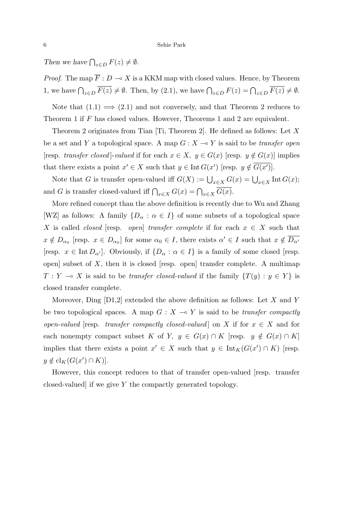*Then we have*  $\bigcap_{z \in D} F(z) \neq \emptyset$ *.* 

*Proof.* The map  $\overline{F}: D \to X$  is a KKM map with closed values. Hence, by Theorem 1, we have  $\bigcap_{z \in D} \overline{F(z)} \neq \emptyset$ . Then, by (2.1), we have  $\bigcap_{z \in D} F(z) = \bigcap_{z \in D} \overline{F(z)} \neq \emptyset$ .

Note that  $(1.1) \implies (2.1)$  and not conversely, and that Theorem 2 reduces to Theorem 1 if *F* has closed values. However, Theorems 1 and 2 are equivalent.

Theorem 2 originates from Tian [Ti, Theorem 2]. He defined as follows: Let *X* be a set and *Y* a topological space. A map  $G: X \rightarrow Y$  is said to be *transfer open* [resp. *transfer closed*]-*valued* if for each  $x \in X$ ,  $y \in G(x)$  [resp.  $y \notin G(x)$ ] implies that there exists a point  $x' \in X$  such that  $y \in \text{Int } G(x')$  [resp.  $y \notin G(x')$ ].

Note that *G* is transfer open-valued iff  $G(X) := \bigcup_{x \in X} G(x) = \bigcup_{x \in X} \text{Int } G(x);$ and *G* is transfer closed-valued iff  $\bigcap_{x \in X} G(x) = \bigcap_{x \in X} \overline{G(x)}$ .

More refined concept than the above definition is recently due to Wu and Zhang [WZ] as follows: A family  $\{D_{\alpha} : \alpha \in I\}$  of some subsets of a topological space *X* is called *closed* [resp. *open*] *transfer complete* if for each  $x \in X$  such that  $x \notin D_{\alpha_0}$  [resp.  $x \in D_{\alpha_0}$ ] for some  $\alpha_0 \in I$ , there exists  $\alpha' \in I$  such that  $x \notin D_{\alpha'}$ [resp.  $x \in \text{Int } D_{\alpha'}$ ]. Obviously, if  $\{D_{\alpha} : \alpha \in I\}$  is a family of some closed [resp. open] subset of *X*, then it is closed [resp. open] transfer complete. A multimap  $T: Y \to X$  is said to be *transfer closed-valued* if the family  $\{T(y): y \in Y\}$  is closed transfer complete.

Moreover, Ding [D1,2] extended the above definition as follows: Let *X* and *Y* be two topological spaces. A map  $G: X \rightarrow Y$  is said to be *transfer compactly open-valued* [resp. *transfer compactly closed-valued*] on *X* if for  $x \in X$  and for each nonempty compact subset *K* of *Y*,  $y \in G(x) \cap K$  [resp.  $y \notin G(x) \cap K$ ] implies that there exists a point  $x' \in X$  such that  $y \in \text{Int}_K(G(x') \cap K)$  [resp.  $y \notin cl_K(G(x') \cap K)$ .

However, this concept reduces to that of transfer open-valued [resp. transfer closed-valued] if we give *Y* the compactly generated topology.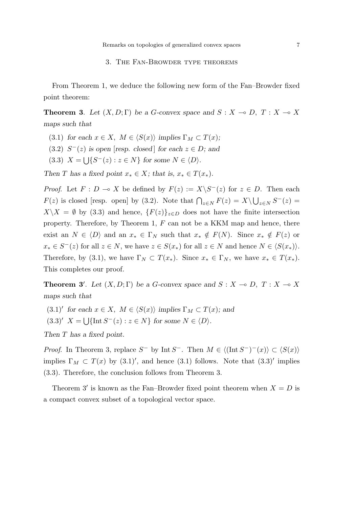## 3. The Fan-Browder type theorems

From Theorem 1, we deduce the following new form of the Fan–Browder fixed point theorem:

**Theorem 3**. Let  $(X, D; \Gamma)$  be a *G*-convex space and  $S: X \to D, T: X \to X$ *maps such that*

- (3.1) *for each*  $x \in X$ ,  $M \in \langle S(x) \rangle$  *implies*  $\Gamma_M \subset T(x)$ ;
- $(3.2)$   $S<sup>-</sup>(z)$  *is open* [*resp. closed*] *for each*  $z \in D$ *; and*
- $(3.3)$   $X = \bigcup \{ S^{-}(z) : z \in N \}$  for some  $N \in \langle D \rangle$ .

*Then T* has a fixed point  $x_* \in X$ ; that is,  $x_* \in T(x_*)$ .

*Proof.* Let  $F: D \to X$  be defined by  $F(z) := X \setminus S^{-1}(z)$  for  $z \in D$ . Then each *F*(*z*) is closed [resp. open] by (3.2). Note that  $\bigcap_{z \in N} F(z) = X \setminus \bigcup_{z \in N} S^{-}(z) =$  $X \setminus X = \emptyset$  by (3.3) and hence,  $\{F(z)\}_{z \in D}$  does not have the finite intersection property. Therefore, by Theorem 1, *F* can not be a KKM map and hence, there exist an  $N \in \langle D \rangle$  and an  $x_* \in \Gamma_N$  such that  $x_* \notin F(N)$ . Since  $x_* \notin F(z)$  or  $x_* \in S^-(z)$  for all  $z \in N$ , we have  $z \in S(x_*)$  for all  $z \in N$  and hence  $N \in \langle S(x_*) \rangle$ . Therefore, by (3.1), we have  $\Gamma_N \subset T(x_*)$ . Since  $x_* \in \Gamma_N$ , we have  $x_* \in T(x_*)$ . This completes our proof.

**Theorem 3<sup>***'***</sup>. Let**  $(X, D; \Gamma)$  **be a** *G***-convex space and**  $S: X \to D, T: X \to X$ *maps such that*

 $(3.1)'$  *for each*  $x \in X$ *,*  $M \in \langle S(x) \rangle$  *implies*  $\Gamma_M \subset T(x)$ *; and* 

 $(3.3)'$   $X = \bigcup \{ \text{Int } S^-(z) : z \in N \}$  for some  $N \in \langle D \rangle$ .

*Then T has a fixed point.*

*Proof.* In Theorem 3, replace  $S^-$  by Int  $S^-$ . Then  $M \in \langle (\text{Int } S^-)^-(x) \rangle \subset \langle S(x) \rangle$ implies  $\Gamma_M \subset T(x)$  by  $(3.1)'$ , and hence  $(3.1)$  follows. Note that  $(3.3)'$  implies (3.3). Therefore, the conclusion follows from Theorem 3.

Theorem 3' is known as the Fan–Browder fixed point theorem when  $X = D$  is a compact convex subset of a topological vector space.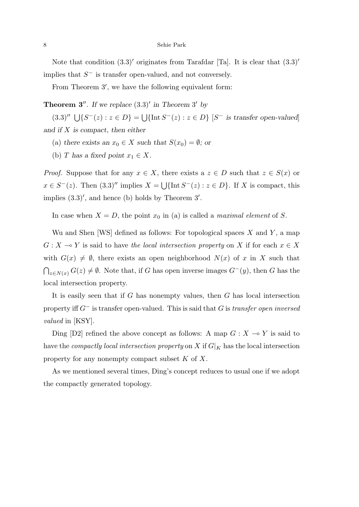Note that condition (3*.*3)*′* originates from Tarafdar [Ta]. It is clear that (3*.*3)*′* implies that *S <sup>−</sup>* is transfer open-valued, and not conversely.

From Theorem 3*′* , we have the following equivalent form:

**Theorem 3'**. If we replace  $(3.3)'$  in Theorem 3' by

 $(3.3)'' \cup \{S^-(z) : z \in D\} = \cup \{\text{Int } S^-(z) : z \in D\}$  [S<sup>-</sup> is transfer open-valued] *and if X is compact, then either*

(a) *there exists an*  $x_0 \in X$  *such that*  $S(x_0) = \emptyset$ *; or* 

(b) *T* has a fixed point  $x_1 \in X$ .

*Proof.* Suppose that for any  $x \in X$ , there exists a  $z \in D$  such that  $z \in S(x)$  or  $x \in S^{-}(z)$ . Then  $(3.3)''$  implies  $X = \bigcup \{\text{Int } S^{-}(z) : z \in D\}$ . If *X* is compact, this implies (3*.*3)*′* , and hence (b) holds by Theorem 3*′* .

In case when  $X = D$ , the point  $x_0$  in (a) is called a *maximal element* of *S*.

Wu and Shen [WS] defined as follows: For topological spaces *X* and *Y* , a map  $G: X \to Y$  is said to have *the local intersection property* on *X* if for each  $x \in X$ with  $G(x) \neq \emptyset$ , there exists an open neighborhood  $N(x)$  of x in X such that  $∩_{z \in N(x)} G(z) \neq ∅$ . Note that, if *G* has open inverse images  $G<sup>−</sup>(y)$ , then *G* has the local intersection property.

It is easily seen that if *G* has nonempty values, then *G* has local intersection property iff *G<sup>−</sup>* is transfer open-valued. This is said that *G* is *transfer open inversed valued* in [KSY].

Ding [D2] refined the above concept as follows: A map  $G: X \to Y$  is said to have the *compactly local intersection property* on X if  $G|_K$  has the local intersection property for any nonempty compact subset *K* of *X*.

As we mentioned several times, Ding's concept reduces to usual one if we adopt the compactly generated topology.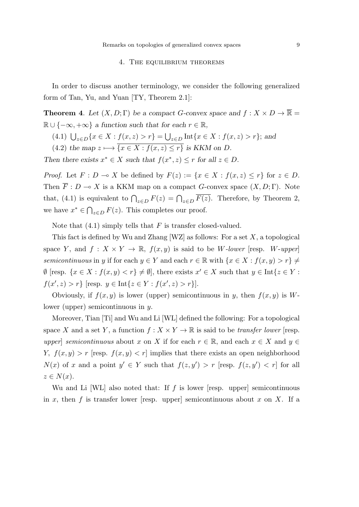## 4. The equilibrium theorems

In order to discuss another terminology, we consider the following generalized form of Tan, Yu, and Yuan [TY, Theorem 2.1]:

**Theorem 4**. Let  $(X, D; \Gamma)$  be a compact *G*-convex space and  $f: X \times D \to \overline{\mathbb{R}}$  =  $\mathbb{R} \cup \{-\infty, +\infty\}$  *a function such that for each*  $r \in \mathbb{R}$ ,

- (4.1)  $\bigcup_{z \in D} \{x \in X : f(x, z) > r\} = \bigcup_{z \in D} \text{Int}\{x \in X : f(x, z) > r\};\$ and
- $(4.2)$  *the map*  $z \mapsto \overline{\{x \in X : f(x, z) \leq r\}}$  *is KKM on D.*

*Then there exists*  $x^* \in X$  *such that*  $f(x^*, z) \leq r$  *for all*  $z \in D$ *.* 

*Proof.* Let  $F: D \to X$  be defined by  $F(z) := \{x \in X : f(x, z) \leq r\}$  for  $z \in D$ . Then  $\overline{F}: D \to X$  is a KKM map on a compact *G*-convex space  $(X, D; \Gamma)$ . Note that, (4.1) is equivalent to  $\bigcap_{z \in D} F(z) = \bigcap_{z \in D} \overline{F(z)}$ . Therefore, by Theorem 2, we have  $x^* \in \bigcap_{z \in D} F(z)$ . This completes our proof.

Note that (4.1) simply tells that *F* is transfer closed-valued.

This fact is defined by Wu and Zhang [WZ] as follows: For a set *X*, a topological space *Y*, and  $f: X \times Y \to \mathbb{R}$ ,  $f(x, y)$  is said to be *W*-lower [resp. *W*-upper] *semicontinuous* in *y* if for each  $y \in Y$  and each  $r \in \mathbb{R}$  with  $\{x \in X : f(x, y) > r\} \neq$  $\emptyset$  [resp.  $\{x \in X : f(x, y) < r\} \neq \emptyset$ ], there exists  $x' \in X$  such that  $y \in \text{Int}\{z \in Y : f(z, y) < r\}$  $f(x', z) > r$ } [resp.  $y \in \text{Int}\{z \in Y : f(x', z) > r\}$ ].

Obviously, if  $f(x, y)$  is lower (upper) semicontinuous in *y*, then  $f(x, y)$  is *W*lower (upper) semicontinuous in *y*.

Moreover, Tian [Ti] and Wu and Li [WL] defined the following: For a topological space *X* and a set *Y*, a function  $f: X \times Y \to \mathbb{R}$  is said to be *transfer lower* [resp. *upper*] *semicontinuous* about *x* on *X* if for each  $r \in \mathbb{R}$ , and each  $x \in X$  and  $y \in$ *Y,*  $f(x, y) > r$  [resp.  $f(x, y) < r$ ] implies that there exists an open neighborhood *N*(*x*) of *x* and a point  $y' \in Y$  such that  $f(z, y') > r$  [resp.  $f(z, y') < r$ ] for all  $z \in N(x)$ .

Wu and Li [WL] also noted that: If *f* is lower [resp. upper] semicontinuous in  $x$ , then  $f$  is transfer lower [resp. upper] semicontinuous about  $x$  on  $X$ . If a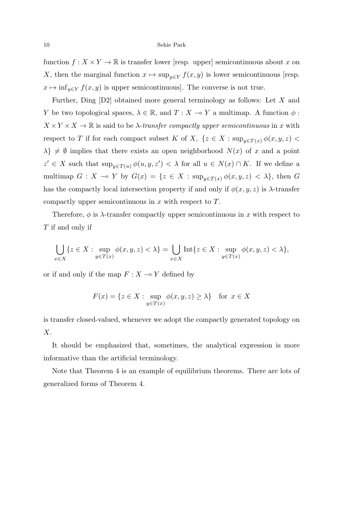function  $f: X \times Y \to \mathbb{R}$  is transfer lower [resp. upper] semicontinuous about *x* on *X*, then the marginal function  $x \mapsto \sup_{y \in Y} f(x, y)$  is lower semicontinuous [resp.  $x \mapsto \inf_{y \in Y} f(x, y)$  is upper semicontinuous]. The converse is not true.

Further, Ding [D2] obtained more general terminology as follows: Let *X* and *Y* be two topological spaces,  $\lambda \in \mathbb{R}$ , and  $T : X \to Y$  a multimap. A function  $\phi$ :  $X \times Y \times X \to \mathbb{R}$  is said to be *λ*-*transfer compactly upper semicontinuous* in *x* with respect to *T* if for each compact subset *K* of *X*,  $\{z \in X : \sup_{y \in T(x)} \phi(x, y, z)$  $\lambda$ *}*  $\neq$  *Ø* implies that there exists an open neighborhood *N*(*x*) of *x* and a point  $z' \in X$  such that  $\sup_{y \in T(u)} \phi(u, y, z') < \lambda$  for all  $u \in N(x) \cap K$ . If we define a multimap  $G: X \to Y$  by  $G(x) = \{z \in X : \sup_{y \in T(x)} \phi(x, y, z) < \lambda\}$ , then  $G$ has the compactly local intersection property if and only if  $\phi(x, y, z)$  is  $\lambda$ -transfer compactly upper semicontinuous in *x* with respect to *T*.

Therefore,  $\phi$  is  $\lambda$ -transfer compactly upper semicontinuous in x with respect to *T* if and only if

$$
\bigcup_{x \in X} \{ z \in X : \sup_{y \in T(x)} \phi(x, y, z) < \lambda \} = \bigcup_{x \in X} \text{Int} \{ z \in X : \sup_{y \in T(x)} \phi(x, y, z) < \lambda \},
$$

or if and only if the map  $F: X \to Y$  defined by

$$
F(x) = \{ z \in X : \sup_{y \in T(x)} \phi(x, y, z) \ge \lambda \} \text{ for } x \in X
$$

is transfer closed-valued, whenever we adopt the compactly generated topology on *X*.

It should be emphasized that, sometimes, the analytical expression is more informative than the artificial terminology.

Note that Theorem 4 is an example of equilibrium theorems. There are lots of generalized forms of Theorem 4.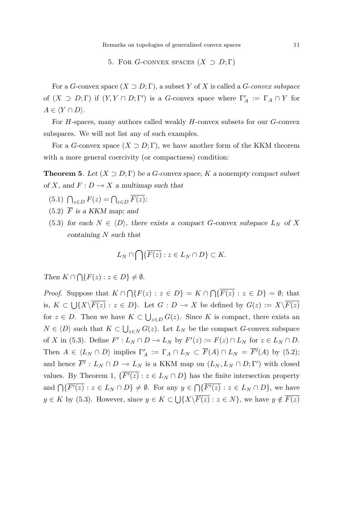#### 5. FOR *G*-CONVEX SPACES  $(X \supset D; \Gamma)$

For a *G*-convex space  $(X \supset D; \Gamma)$ , a subset *Y* of *X* is called a *G*-*convex subspace* of  $(X \supset D; \Gamma)$  if  $(Y, Y \cap D; \Gamma')$  is a *G*-convex space where  $\Gamma'_A := \Gamma_A \cap Y$  for  $A \in \langle Y \cap D \rangle$ .

For *H*-spaces, many authors called weakly *H*-convex subsets for our *G*-convex subspaces. We will not list any of such examples.

For a *G*-convex space  $(X \supset D; \Gamma)$ , we have another form of the KKM theorem with a more general coercivity (or compactness) condition:

**Theorem 5**. Let  $(X \supset D; \Gamma)$  be a *G*-convex space, *K* a nonempty compact subset *of X, and*  $F: D \to X$  *a multimap such that* 

- $(5.1)$   $\bigcap_{z \in D} F(z) = \bigcap_{z \in D} \overline{F(z)};$
- $(5.2)$   $\overline{F}$  is a KKM map; and
- (5.3) *for each*  $N \in \langle D \rangle$ *, there exists a compact G-convex subspace*  $L_N$  *of* X *containing N such that*

$$
L_N\cap\bigcap\{\overline{F(z)}:z\in L_N\cap D\}\subset K.
$$

*Then*  $K \cap \bigcap \{F(z) : z \in D\} \neq \emptyset$ .

*Proof.* Suppose that  $K \cap \bigcap \{F(z) : z \in D\} = K \cap \bigcap \{\overline{F(z)} : z \in D\} = \emptyset$ ; that is,  $K \subset \bigcup \{X \setminus \overline{F(z)} : z \in D\}$ . Let  $G: D \multimap X$  be defined by  $G(z) := X \setminus \overline{F(z)}$ for  $z \in D$ . Then we have  $K \subset \bigcup_{z \in D} G(z)$ . Since K is compact, there exists an *N* ∈  $\langle D \rangle$  such that  $K \subset \bigcup_{z \in N} G(z)$ . Let  $L_N$  be the compact *G*-convex subspace of X in (5.3). Define  $F': L_N \cap D \multimap L_N$  by  $F'(z) := F(z) \cap L_N$  for  $z \in L_N \cap D$ . Then  $A \in \langle L_N \cap D \rangle$  implies  $\Gamma'_A := \Gamma_A \cap L_N \subset F(A) \cap L_N = F'(A)$  by (5.2); and hence  $F'$ :  $L_N \cap D \to L_N$  is a KKM map on  $(L_N, L_N \cap D; \Gamma')$  with closed values. By Theorem 1,  $\{F'(z) : z \in L_N \cap D\}$  has the finite intersection property and  $\bigcap \{\overline{F'(z)} : z \in L_N \cap D\} \neq \emptyset$ . For any  $y \in \bigcap \{\overline{F'(z)} : z \in L_N \cap D\}$ , we have *y* ∈ *K* by (5.3). However, since  $y \in K \subset \bigcup \{X \setminus \overline{F(z)} : z \in N\}$ , we have  $y \notin \overline{F(z)}$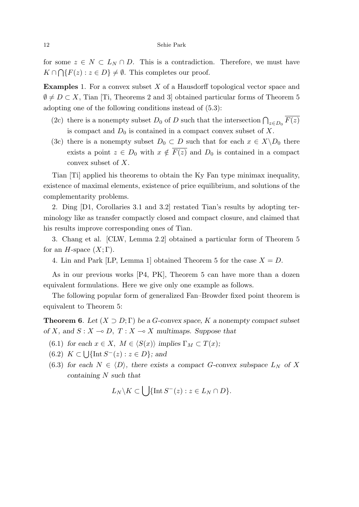for some  $z \in N \subset L_N \cap D$ . This is a contradiction. Therefore, we must have  $K \cap \bigcap \{F(z) : z \in D\} \neq \emptyset$ . This completes our proof.

**Examples** 1. For a convex subset *X* of a Hausdorff topological vector space and  $\emptyset \neq D \subset X$ , Tian [Ti, Theorems 2 and 3] obtained particular forms of Theorem 5 adopting one of the following conditions instead of (5.3):

- (2c) there is a nonempty subset  $D_0$  of  $D$  such that the intersection  $\bigcap_{z \in D_0} \overline{F(z)}$ is compact and  $D_0$  is contained in a compact convex subset of  $X$ .
- (3c) there is a nonempty subset  $D_0 \subset D$  such that for each  $x \in X \backslash D_0$  there exists a point  $z \in D_0$  with  $x \notin F(z)$  and  $D_0$  is contained in a compact convex subset of *X*.

Tian [Ti] applied his theorems to obtain the Ky Fan type minimax inequality, existence of maximal elements, existence of price equilibrium, and solutions of the complementarity problems.

2. Ding [D1, Corollaries 3.1 and 3.2] restated Tian's results by adopting terminology like as transfer compactly closed and compact closure, and claimed that his results improve corresponding ones of Tian.

3. Chang et al. [CLW, Lemma 2.2] obtained a particular form of Theorem 5 for an *H*-space  $(X;\Gamma)$ .

4. Lin and Park [LP, Lemma 1] obtained Theorem 5 for the case  $X = D$ .

As in our previous works [P4, PK], Theorem 5 can have more than a dozen equivalent formulations. Here we give only one example as follows.

The following popular form of generalized Fan–Browder fixed point theorem is equivalent to Theorem 5:

**Theorem 6.** Let  $(X \supset D; \Gamma)$  be a *G*-convex space, *K* a nonempty compact subset *of X*, and *S* :  $X \to D$ ,  $T : X \to X$  *multimaps. Suppose that* 

- (6.1) *for each*  $x \in X$ ,  $M \in \langle S(x) \rangle$  *implies*  $\Gamma_M \subset T(x)$ ;
- (6*.*2) *K ⊂* ∪ *{*Int *S <sup>−</sup>*(*z*) : *z ∈ D}; and*
- (6.3) *for each*  $N \in \langle D \rangle$ *, there exists a compact G-convex subspace*  $L_N$  *of* X *containing N such that*

$$
L_N \backslash K \subset \bigcup \{ \text{Int } S^-(z) : z \in L_N \cap D \}.
$$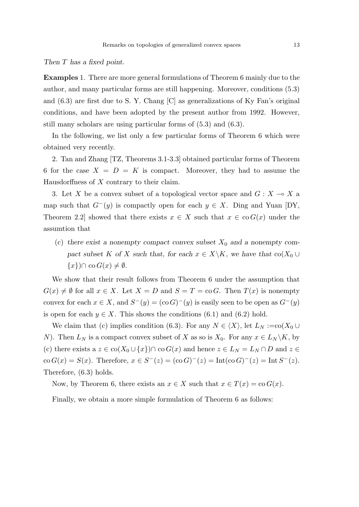*Then T has a fixed point.*

**Examples** 1. There are more general formulations of Theorem 6 mainly due to the author, and many particular forms are still happening. Moreover, conditions (5.3) and (6.3) are first due to S. Y. Chang [C] as generalizations of Ky Fan's original conditions, and have been adopted by the present author from 1992. However, still many scholars are using particular forms of (5.3) and (6.3).

In the following, we list only a few particular forms of Theorem 6 which were obtained very recently.

2. Tan and Zhang [TZ, Theorems 3.1-3.3] obtained particular forms of Theorem 6 for the case  $X = D = K$  is compact. Moreover, they had to assume the Hausdorffness of *X* contrary to their claim.

3. Let X be a convex subset of a topological vector space and  $G: X \to X$  a map such that  $G^-(y)$  is compactly open for each  $y \in X$ . Ding and Yuan [DY, Theorem 2.2] showed that there exists  $x \in X$  such that  $x \in \text{co } G(x)$  under the assumtion that

(c) there exist a nonempty compact convex subset  $X_0$  and a nonempty com*pact subset K of X such that, for each*  $x \in X \backslash K$ *, we have that*  $\text{co}(X_0 \cup$  ${x}$ *)*∩ co *G*(*x*)  $\neq$  *Ø*.

We show that their result follows from Theorem 6 under the assumption that  $G(x) \neq \emptyset$  for all  $x \in X$ . Let  $X = D$  and  $S = T = \text{co } G$ . Then  $T(x)$  is nonempty convex for each  $x \in X$ , and  $S^{-}(y) = (\text{co } G)^{-}(y)$  is easily seen to be open as  $G^{-}(y)$ is open for each  $y \in X$ . This shows the conditions (6.1) and (6.2) hold.

We claim that (c) implies condition (6.3). For any  $N \in \langle X \rangle$ , let  $L_N := \text{co}(X_0 \cup$ *N*). Then  $L_N$  is a compact convex subset of *X* as so is  $X_0$ . For any  $x \in L_N \setminus K$ , by (c) there exists a  $z \in \text{co}(X_0 \cup \{x\}) \cap \text{co } G(x)$  and hence  $z \in L_N = L_N \cap D$  and  $z \in$  $\cos G(x) = S(x)$ . Therefore,  $x \in S^{-}(z) = (\cos G)^{-}(z) = \text{Int}(\cos G)^{-}(z) = \text{Int} S^{-}(z)$ . Therefore, (6.3) holds.

Now, by Theorem 6, there exists an  $x \in X$  such that  $x \in T(x) = \text{co } G(x)$ .

Finally, we obtain a more simple formulation of Theorem 6 as follows: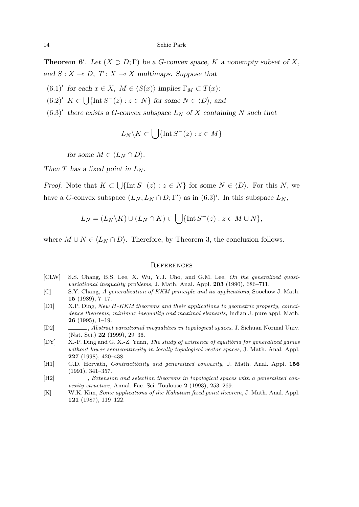**Theorem 6<sup>***′***</sup>. Let**  $(X \supset D; \Gamma)$  **be a** *G***-convex space,** *K* **a nonempty subset of** *X***,** *and*  $S: X \to D$ ,  $T: X \to X$  *multimaps. Suppose that* 

- $(6.1)'$  for each  $x \in X$ ,  $M \in \langle S(x) \rangle$  implies  $\Gamma_M \subset T(x)$ ;
- $(6.2)'$  *K*  $\subset \bigcup \{\text{Int } S^-(z) : z \in N\}$  for some  $N \in \langle D \rangle$ ; and
- $(6.3)'$  there exists a *G*-convex subspace  $L_N$  of *X* containing *N* such that

$$
L_N \backslash K \subset \bigcup \{ \text{Int}\, S^-(z) : z \in M \}
$$

*for some*  $M \in \langle L_N \cap D \rangle$ *.* 

*Then*  $T$  *has a fixed point in*  $L_N$ *.* 

*Proof.* Note that  $K \subset \bigcup \{ \text{Int } S^-(z) : z \in N \}$  for some  $N \in \langle D \rangle$ . For this *N*, we have a *G*-convex subspace  $(L_N, L_N \cap D; \Gamma')$  as in  $(6.3)'$ . In this subspace  $L_N$ ,

$$
L_N = (L_N \backslash K) \cup (L_N \cap K) \subset \bigcup \{ \text{Int } S^-(z) : z \in M \cup N \},\
$$

where  $M \cup N \in \langle L_N \cap D \rangle$ . Therefore, by Theorem 3, the conclusion follows.

#### **REFERENCES**

- [CLW] S.S. Chang, B.S. Lee, X. Wu, Y.J. Cho, and G.M. Lee, *On the generalized quasivariational inequality problems*, J. Math. Anal. Appl. **203** (1990), 686–711.
- [C] S.Y. Chang, *A generalization of KKM principle and its applications*, Soochow J. Math. **15** (1989), 7–17.
- [D1] X.P. Ding, *New H-KKM theorems and their applications to geometric property, coincidence theorems, minimax inequality and maximal elements*, Indian J. pure appl. Math. **26** (1995), 1–19.
- [D2] , *Abstract variational inequalities in topological spaces*, J. Sichuan Normal Univ. (Nat. Sci.) **22** (1999), 29–36.
- [DY] X.-P. Ding and G. X.-Z. Yuan, *The study of existence of equilibria for generalized games without lower semicontinuity in locally topological vector spaces*, J. Math. Anal. Appl. **227** (1998), 420–438.
- [H1] C.D. Horvath, *Contractibility and generalized convexity*, J. Math. Anal. Appl. **156** (1991), 341–357.
- [H2] , *Extension and selection theorems in topological spaces with a generalized convexity structure*, Annal. Fac. Sci. Toulouse **2** (1993), 253–269.
- [K] W.K. Kim, *Some applications of the Kakutani fixed point theorem*, J. Math. Anal. Appl. **121** (1987), 119–122.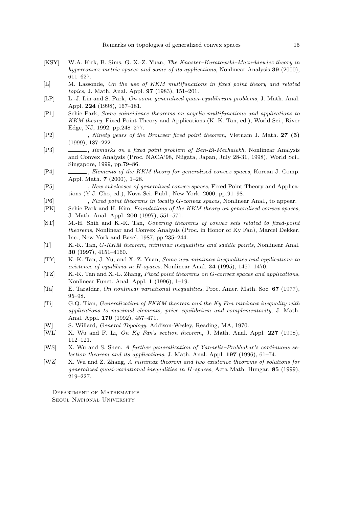- [KSY] W.A. Kirk, B. Sims, G. X.-Z. Yuan, *The Knaster–Kuratowski–Mazurkiewicz theory in hyperconvex metric spaces and some of its applications*, Nonlinear Analysis **39** (2000), 611–627.
- [L] M. Lassonde, *On the use of KKM multifunctions in fixed point theory and related topics*, J. Math. Anal. Appl. **97** (1983), 151–201.
- [LP] L.-J. Lin and S. Park, *On some generalized quasi-equilibrium problems*, J. Math. Anal. Appl. **224** (1998), 167–181.
- [P1] Sehie Park, *Some coincidence theorems on acyclic multifunctions and applications to KKM theory*, Fixed Point Theory and Applications (K.-K. Tan, ed.), World Sci., River Edge, NJ, 1992, pp.248–277.
- [P2] , *Ninety years of the Brouwer fixed point theorem*, Vietnam J. Math. **27 (3)** (1999), 187–222.
- [P3] , *Remarks on a fixed point problem of Ben-El-Mechaiekh*, Nonlinear Analysis and Convex Analysis (Proc. NACA'98, Niigata, Japan, July 28-31, 1998), World Sci., Singapore, 1999, pp.79–86.
- [P4] , *Elements of the KKM theory for generalized convex spaces*, Korean J. Comp. Appl. Math. **7** (2000), 1–28.
- [P5] , *New subclasses of generalized convex spaces*, Fixed Point Theory and Applications (Y.J. Cho, ed.), Nova Sci. Publ., New York, 2000, pp.91–98.
- [P6] , *Fixed point theorems in locally G-convex spaces*, Nonlinear Anal., to appear.
- [PK] Sehie Park and H. Kim, *Foundations of the KKM theory on generalized convex spaces*, J. Math. Anal. Appl. **209** (1997), 551–571.
- [ST] M.-H. Shih and K.-K. Tan, *Covering theorems of convex sets related to fixed-point theorems*, Nonlinear and Convex Analysis (Proc. in Honor of Ky Fan), Marcel Dekker, Inc., New York and Basel, 1987, pp.235–244.
- [T] K.-K. Tan, *G-KKM theorem, minimax inequalities and saddle points*, Nonlinear Anal. **30** (1997), 4151–4160.
- [TY] K.-K. Tan, J. Yu, and X.-Z. Yuan, *Some new minimax inequalities and applications to existence of equilibria in H-spaces*, Nonlinear Anal. **24** (1995), 1457–1470.
- [TZ] K.-K. Tan and X.-L. Zhang, *Fixed point theorems on G-convex spaces and applications*, Nonlinear Funct. Anal. Appl. **1** (1996), 1–19.
- [Ta] E. Tarafdar, *On nonlinear variational inequalities*, Proc. Amer. Math. Soc. **67** (1977), 95–98.
- [Ti] G.Q. Tian, *Generalization of FKKM theorem and the Ky Fan minimax inequality with applications to maximal elements, price equilibrium and complementarity*, J. Math. Anal. Appl. **170** (1992), 457–471.
- [W] S. Willard, *General Topology*, Addison-Wesley, Reading, MA, 1970.
- [WL] X. Wu and F. Li, *On Ky Fan's section theorem*, J. Math. Anal. Appl. **227** (1998), 112–121.
- [WS] X. Wu and S. Shen, *A further generalization of Yannelis–Prabhakar's continuous selection theorem and its applications*, J. Math. Anal. Appl. **197** (1996), 61–74.
- [WZ] X. Wu and Z. Zhang, *A minimax theorem and two existence theorems of solutions for generalized quasi-variational inequalities in H-spaces*, Acta Math. Hungar. **85** (1999), 219–227.

Department of Mathematics Seoul National University